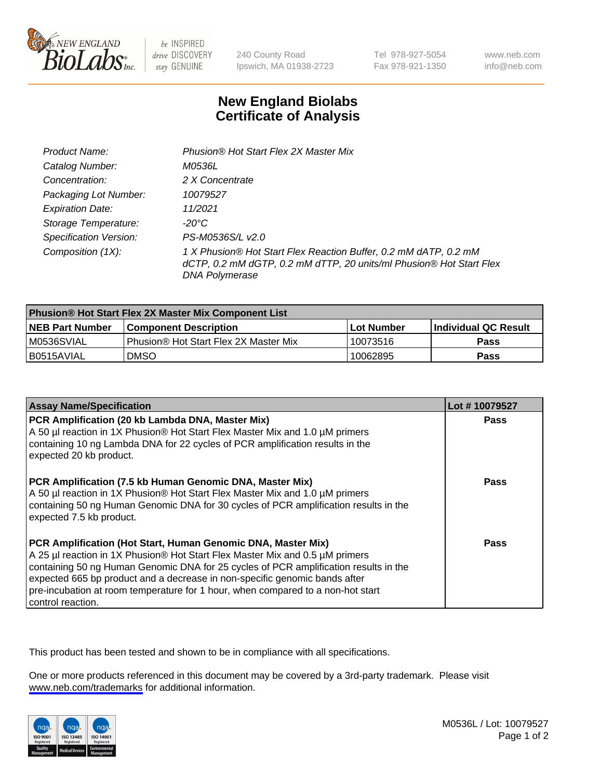

be INSPIRED drive DISCOVERY stay GENUINE

240 County Road Ipswich, MA 01938-2723 Tel 978-927-5054 Fax 978-921-1350

www.neb.com info@neb.com

## **New England Biolabs Certificate of Analysis**

| Product Name:                 | Phusion® Hot Start Flex 2X Master Mix                                                                                                                     |
|-------------------------------|-----------------------------------------------------------------------------------------------------------------------------------------------------------|
| Catalog Number:               | <i>M0536L</i>                                                                                                                                             |
| Concentration:                | 2 X Concentrate                                                                                                                                           |
| Packaging Lot Number:         | 10079527                                                                                                                                                  |
| <b>Expiration Date:</b>       | 11/2021                                                                                                                                                   |
| Storage Temperature:          | -20°C                                                                                                                                                     |
| <b>Specification Version:</b> | PS-M0536S/L v2.0                                                                                                                                          |
| Composition (1X):             | 1 X Phusion® Hot Start Flex Reaction Buffer, 0.2 mM dATP, 0.2 mM<br>dCTP, 0.2 mM dGTP, 0.2 mM dTTP, 20 units/ml Phusion® Hot Start Flex<br>DNA Polymerase |

| <b>Phusion® Hot Start Flex 2X Master Mix Component List</b> |                                       |            |                             |  |
|-------------------------------------------------------------|---------------------------------------|------------|-----------------------------|--|
| <b>NEB Part Number</b>                                      | l Component Description               | Lot Number | <b>Individual QC Result</b> |  |
| M0536SVIAL                                                  | Phusion® Hot Start Flex 2X Master Mix | 10073516   | Pass                        |  |
| I B0515AVIAL                                                | <b>DMSO</b>                           | 10062895   | <b>Pass</b>                 |  |

| <b>Assay Name/Specification</b>                                                                                                                                                                                                                                                                                                                                                                                            | Lot #10079527 |
|----------------------------------------------------------------------------------------------------------------------------------------------------------------------------------------------------------------------------------------------------------------------------------------------------------------------------------------------------------------------------------------------------------------------------|---------------|
| PCR Amplification (20 kb Lambda DNA, Master Mix)<br>A 50 µl reaction in 1X Phusion® Hot Start Flex Master Mix and 1.0 µM primers                                                                                                                                                                                                                                                                                           | <b>Pass</b>   |
| containing 10 ng Lambda DNA for 22 cycles of PCR amplification results in the<br>expected 20 kb product.                                                                                                                                                                                                                                                                                                                   |               |
| PCR Amplification (7.5 kb Human Genomic DNA, Master Mix)<br>A 50 µl reaction in 1X Phusion® Hot Start Flex Master Mix and 1.0 µM primers<br>containing 50 ng Human Genomic DNA for 30 cycles of PCR amplification results in the<br>expected 7.5 kb product.                                                                                                                                                               | <b>Pass</b>   |
| PCR Amplification (Hot Start, Human Genomic DNA, Master Mix)<br>A 25 µl reaction in 1X Phusion® Hot Start Flex Master Mix and 0.5 µM primers<br>containing 50 ng Human Genomic DNA for 25 cycles of PCR amplification results in the<br>expected 665 bp product and a decrease in non-specific genomic bands after<br>pre-incubation at room temperature for 1 hour, when compared to a non-hot start<br>control reaction. | Pass          |

This product has been tested and shown to be in compliance with all specifications.

One or more products referenced in this document may be covered by a 3rd-party trademark. Please visit <www.neb.com/trademarks>for additional information.